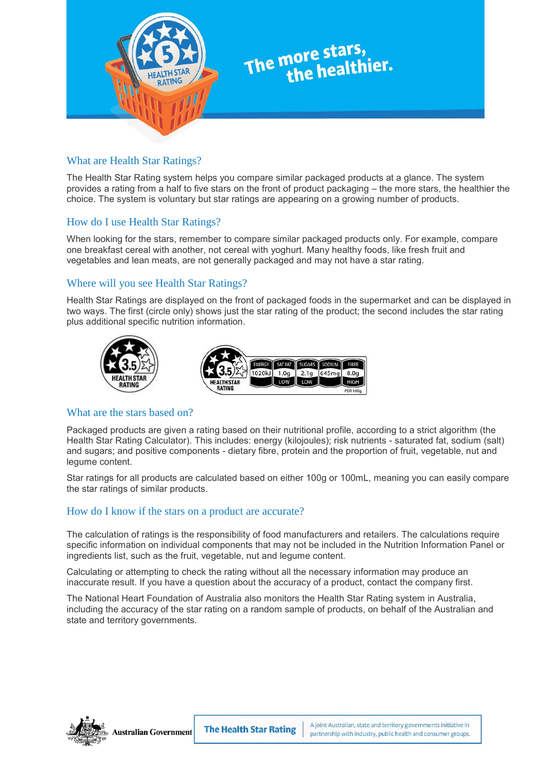

# The more stars,<br>the healthier.

# What are Health Star Ratings?

The Health Star Rating system helps you compare similar packaged products at a glance. The system provides a rating from a half to five stars on the front of product packaging – the more stars, the healthier the choice. The system is voluntary but star ratings are appearing on a growing number of products.

# How do I use Health Star Ratings?

When looking for the stars, remember to compare similar packaged products only. For example, compare one breakfast cereal with another, not cereal with yoghurt. Many healthy foods, like fresh fruit and vegetables and lean meats, are not generally packaged and may not have a star rating.

# Where will you see Health Star Ratings?

Health Star Ratings are displayed on the front of packaged foods in the supermarket and can be displayed in two ways. The first (circle only) shows just the star rating of the product; the second includes the star rating plus additional specific nutrition information.

 $8.0q$ 



### What are the stars based on?

Packaged products are given a rating based on their nutritional profile, according to a strict algorithm (the Health Star Rating Calculator). This includes: energy (kilojoules); risk nutrients - saturated fat, sodium (salt) and sugars; and positive components - dietary fibre, protein and the proportion of fruit, vegetable, nut and legume content.

Star ratings for all products are calculated based on either 100g or 100mL, meaning you can easily compare the star ratings of similar products.

### [How do I know if the stars on a product are accurate?](http://healthstarrating.gov.au/internet/healthstarrating/publishing.nsf/Content/frequently-asked-questions-consumers#collapse12)

The calculation of ratings is the responsibility of food manufacturers and retailers. The calculations require specific information on individual components that may not be included in the Nutrition Information Panel or ingredients list, such as the fruit, vegetable, nut and legume content.

Calculating or attempting to check the rating without all the necessary information may produce an inaccurate result. If you have a question about the accuracy of a product, contact the company first.

The National Heart Foundation of Australia also monitors the Health Star Rating system in Australia, including the accuracy of the star rating on a random sample of products, on behalf of the Australian and state and territory governments.



Australian Government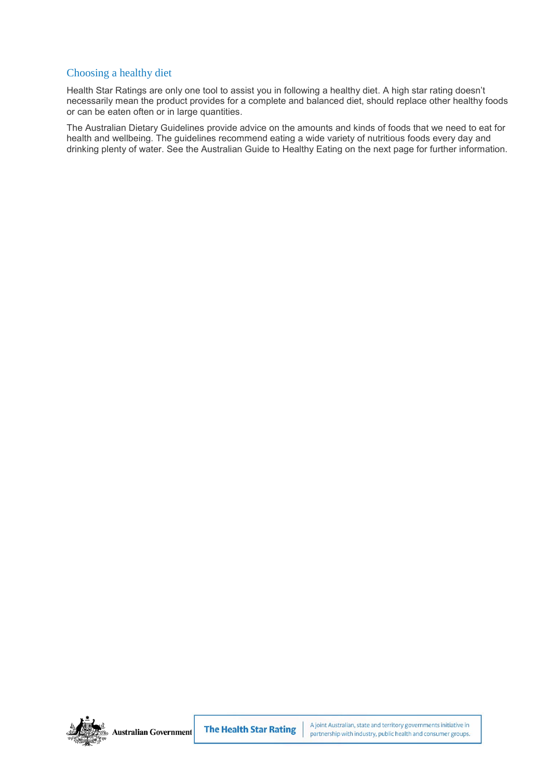# Choosing a healthy diet

Health Star Ratings are only one tool to assist you in following a healthy diet. A high star rating doesn't necessarily mean the product provides for a complete and balanced diet, should replace other healthy foods or can be eaten often or in large quantities.

The Australian Dietary Guidelines provide advice on the amounts and kinds of foods that we need to eat for health and wellbeing. The guidelines recommend eating a wide variety of nutritious foods every day and drinking plenty of water. See the Australian Guide to Healthy Eating on the next page for further information.